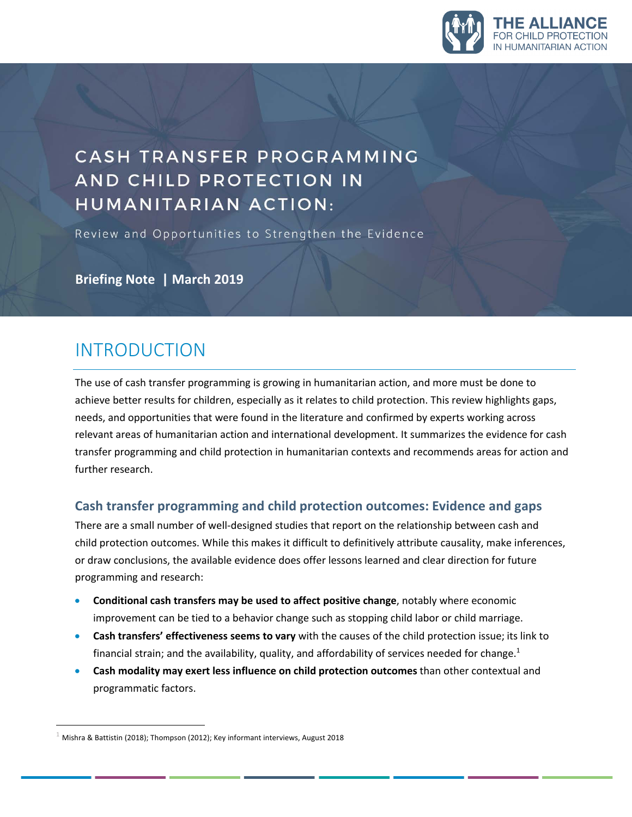

# CASH TRANSFER PROGRAMMING AND CHILD PROTECTION IN HUMANITARIAN ACTION:

Review and Opportunities to Strengthen the Evidence

**Briefing Note | March 2019**

### INTRODUCTION

The use of cash transfer programming is growing in humanitarian action, and more must be done to achieve better results for children, especially as it relates to child protection. This review highlights gaps, needs, and opportunities that were found in the literature and confirmed by experts working across relevant areas of humanitarian action and international development. It summarizes the evidence for cash transfer programming and child protection in humanitarian contexts and recommends areas for action and further research.

#### **Cash transfer programming and child protection outcomes: Evidence and gaps**

There are a small number of well-designed studies that report on the relationship between cash and child protection outcomes. While this makes it difficult to definitively attribute causality, make inferences, or draw conclusions, the available evidence does offer lessons learned and clear direction for future programming and research:

- **Conditional cash transfers may be used to affect positive change**, notably where economic improvement can be tied to a behavior change such as stopping child labor or child marriage.
- **Cash transfers' effectiveness seems to vary** with the causes of the child protection issue; its link to financial strain; and the availability, quality, and affordability of services needed for change.<sup>1</sup>
- **Cash modality may exert less influence on child protection outcomes** than other contextual and programmatic factors.

<sup>1</sup> Mishra & Battistin (2018); Thompson (2012); Key informant interviews, August 2018